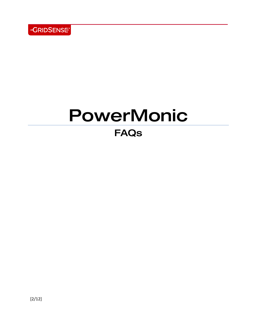

# PowerMonic

# FAQs

[2/12]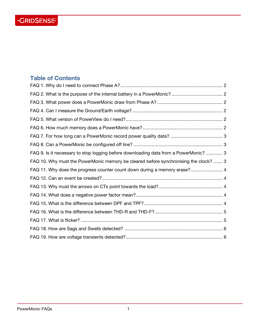# -GRIDSENSE<sup>-</sup>

# <span id="page-1-0"></span>**Table of Contents**

| FAQ 9. Is it necessary to stop logging before downloading data from a PowerMonic?  3 |  |
|--------------------------------------------------------------------------------------|--|
| FAQ 10. Why must the PowerMonic memory be cleared before synchronising the clock?  3 |  |
| FAQ 11. Why does the progress counter count down during a memory erase?  4           |  |
|                                                                                      |  |
|                                                                                      |  |
|                                                                                      |  |
|                                                                                      |  |
|                                                                                      |  |
|                                                                                      |  |
|                                                                                      |  |
|                                                                                      |  |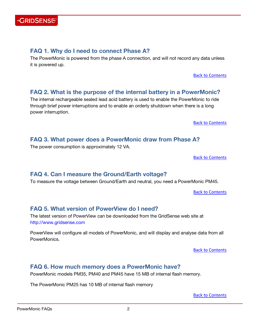

#### <span id="page-2-0"></span>**FAQ 1. Why do I need to connect Phase A?**

The PowerMonic is powered from the phase A connection, and will not record any data unless it is powered up.

[Back to Contents](#page-1-0)

#### <span id="page-2-1"></span>**FAQ 2. What is the purpose of the internal battery in a PowerMonic?**

The internal rechargeable sealed lead acid battery is used to enable the PowerMonic to ride through brief power interruptions and to enable an orderly shutdown when there is a long power interruption.

[Back to Contents](#page-1-0)

#### <span id="page-2-2"></span>**FAQ 3. What power does a PowerMonic draw from Phase A?**

The power consumption is approximately 12 VA.

[Back to Contents](#page-1-0)

#### <span id="page-2-3"></span>**FAQ 4. Can I measure the Ground/Earth voltage?**

To measure the voltage between Ground/Earth and neutral, you need a PowerMonic PM45.

[Back to Contents](#page-1-0)

# <span id="page-2-4"></span>**FAQ 5. What version of PowerView do I need?**

The latest version of PowerView can be downloaded from the GridSense web site at http://www.gridsense.com

PowerView will configure all models of PowerMonic, and will display and analyse data from all PowerMonics.

[Back to Contents](#page-1-0)

# <span id="page-2-5"></span>**FAQ 6. How much memory does a PowerMonic have?**

PowerMonic models PM35, PM40 and PM45 have 15 MB of internal flash memory.

The PowerMonic PM25 has 10 MB of internal flash memory

[Back to Contents](#page-1-0)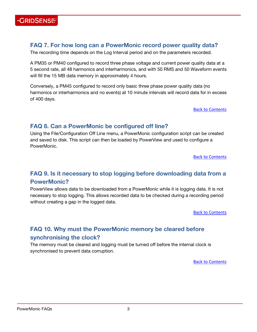

# <span id="page-3-0"></span>**FAQ 7. For how long can a PowerMonic record power quality data?**

The recording time depends on the Log Interval period and on the parameters recorded.

A PM35 or PM40 configured to record three phase voltage and current power quality data at a 5 second rate, all 48 harmonics and interharmonics, and with 50 RMS and 50 Waveform events will fill the 15 MB data memory in approximately 4 hours.

Conversely, a PM45 configured to record only basic three phase power quality data (no harmonics or interharmonics and no events) at 10 minute intervals will record data for in excess of 400 days.

[Back to Contents](#page-1-0)

# <span id="page-3-1"></span>**FAQ 8. Can a PowerMonic be configured off line?**

Using the File/Configuration Off Line menu, a PowerMonic configuration script can be created and saved to disk. This script can then be loaded by PowerView and used to configure a PowerMonic.

[Back to Contents](#page-1-0)

# <span id="page-3-2"></span>**FAQ 9. Is it necessary to stop logging before downloading data from a PowerMonic?**

PowerView allows data to be downloaded from a PowerMonic while it is logging data. It is not necessary to stop logging. This allows recorded data to be checked during a recording period without creating a gap in the logged data.

[Back to Contents](#page-1-0)

# <span id="page-3-3"></span>**FAQ 10. Why must the PowerMonic memory be cleared before synchronising the clock?**

The memory must be cleared and logging must be turned off before the internal clock is synchronised to prevent data corruption.

[Back to Contents](#page-1-0)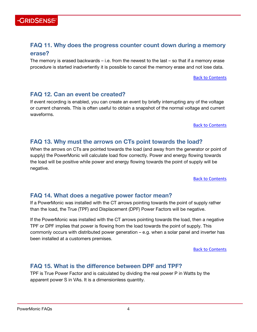# <span id="page-4-0"></span>**FAQ 11. Why does the progress counter count down during a memory erase?**

The memory is erased backwards – i.e. from the newest to the last – so that if a memory erase procedure is started inadvertently it is possible to cancel the memory erase and not lose data.

[Back to Contents](#page-1-0)

# <span id="page-4-1"></span>**FAQ 12. Can an event be created?**

**GRIDSENSE** 

If event recording is enabled, you can create an event by briefly interrupting any of the voltage or current channels. This is often useful to obtain a snapshot of the normal voltage and current waveforms.

#### [Back to Contents](#page-1-0)

# <span id="page-4-2"></span>**FAQ 13. Why must the arrows on CTs point towards the load?**

When the arrows on CTs are pointed towards the load (and away from the generator or point of supply) the PowerMonic will calculate load flow correctly. Power and energy flowing towards the load will be positive while power and energy flowing towards the point of supply will be negative.

[Back to Contents](#page-1-0)

# <span id="page-4-3"></span>**FAQ 14. What does a negative power factor mean?**

If a PowerMonic was installed with the CT arrows pointing towards the point of supply rather than the load, the True (TPF) and Displacement (DPF) Power Factors will be negative.

If the PowerMonic was installed with the CT arrows pointing towards the load, then a negative TPF or DPF implies that power is flowing from the load towards the point of supply. This commonly occurs with distributed power generation – e.g. when a solar panel and inverter has been installed at a customers premises.

[Back to Contents](#page-1-0)

# <span id="page-4-4"></span>**FAQ 15. What is the difference between DPF and TPF?**

TPF is True Power Factor and is calculated by dividing the real power P in Watts by the apparent power S in VAs. It is a dimensionless quantity.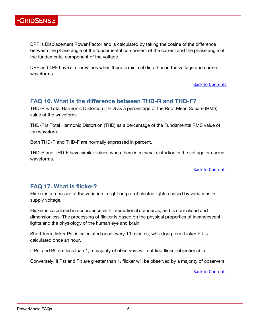

DPF is Displacement Power Factor and is calculated by taking the cosine of the difference between the phase angle of the fundamental component of the current and the phase angle of the fundamental component of the voltage.

DPF and TPF have similar values when there is minimal distortion in the voltage and current waveforms.

[Back to Contents](#page-1-0)

# <span id="page-5-0"></span>**FAQ 16. What is the difference between THD-R and THD-F?**

THD-R is Total Harmonic Distortion (THD) as a percentage of the Root Mean Square (RMS) value of the waveform.

THD-F is Total Harmonic Distortion (THD) as a percentage of the Fundamental RMS value of the waveform.

Both THD-R and THD-F are normally expressed in percent.

THD-R and THD-F have similar values when there is minimal distortion in the voltage or current waveforms.

[Back to Contents](#page-1-0)

# <span id="page-5-1"></span>**FAQ 17. What is flicker?**

Flicker is a measure of the variation in light output of electric lights caused by variations in supply voltage.

Flicker is calculated in accordance with international standards, and is normalised and dimensionless. The processing of flicker is based on the physical properties of incandescent lights and the physiology of the human eye and brain.

Short term flicker Pst is calculated once every 10 minutes, while long term flicker Plt is calculated once an hour.

If Pst and Plt are less than 1, a majority of observers will not find flicker objectionable.

Conversely, if Pst and Plt are greater than 1, flicker will be observed by a majority of observers.

[Back to Contents](#page-1-0)